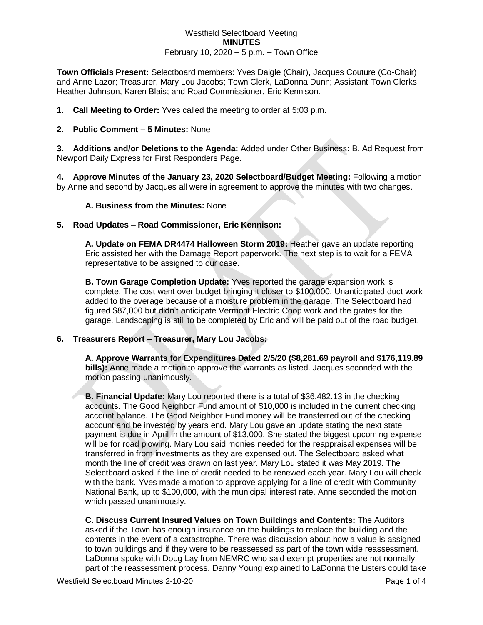**Town Officials Present:** Selectboard members: Yves Daigle (Chair), Jacques Couture (Co-Chair) and Anne Lazor; Treasurer, Mary Lou Jacobs; Town Clerk, LaDonna Dunn; Assistant Town Clerks Heather Johnson, Karen Blais; and Road Commissioner, Eric Kennison.

**1. Call Meeting to Order:** Yves called the meeting to order at 5:03 p.m.

### **2. Public Comment – 5 Minutes:** None

**3. Additions and/or Deletions to the Agenda:** Added under Other Business: B. Ad Request from Newport Daily Express for First Responders Page.

**4. Approve Minutes of the January 23, 2020 Selectboard/Budget Meeting:** Following a motion by Anne and second by Jacques all were in agreement to approve the minutes with two changes.

#### **A. Business from the Minutes:** None

#### **5. Road Updates – Road Commissioner, Eric Kennison:**

**A. Update on FEMA DR4474 Halloween Storm 2019:** Heather gave an update reporting Eric assisted her with the Damage Report paperwork. The next step is to wait for a FEMA representative to be assigned to our case.

**B. Town Garage Completion Update:** Yves reported the garage expansion work is complete. The cost went over budget bringing it closer to \$100,000. Unanticipated duct work added to the overage because of a moisture problem in the garage. The Selectboard had figured \$87,000 but didn't anticipate Vermont Electric Coop work and the grates for the garage. Landscaping is still to be completed by Eric and will be paid out of the road budget.

# **6. Treasurers Report – Treasurer, Mary Lou Jacobs:**

**A. Approve Warrants for Expenditures Dated 2/5/20 (\$8,281.69 payroll and \$176,119.89 bills):** Anne made a motion to approve the warrants as listed. Jacques seconded with the motion passing unanimously.

**B. Financial Update:** Mary Lou reported there is a total of \$36,482.13 in the checking accounts. The Good Neighbor Fund amount of \$10,000 is included in the current checking account balance. The Good Neighbor Fund money will be transferred out of the checking account and be invested by years end. Mary Lou gave an update stating the next state payment is due in April in the amount of \$13,000. She stated the biggest upcoming expense will be for road plowing. Mary Lou said monies needed for the reappraisal expenses will be transferred in from investments as they are expensed out. The Selectboard asked what month the line of credit was drawn on last year. Mary Lou stated it was May 2019. The Selectboard asked if the line of credit needed to be renewed each year. Mary Lou will check with the bank. Yves made a motion to approve applying for a line of credit with Community National Bank, up to \$100,000, with the municipal interest rate. Anne seconded the motion which passed unanimously.

**C. Discuss Current Insured Values on Town Buildings and Contents:** The Auditors asked if the Town has enough insurance on the buildings to replace the building and the contents in the event of a catastrophe. There was discussion about how a value is assigned to town buildings and if they were to be reassessed as part of the town wide reassessment. LaDonna spoke with Doug Lay from NEMRC who said exempt properties are not normally part of the reassessment process. Danny Young explained to LaDonna the Listers could take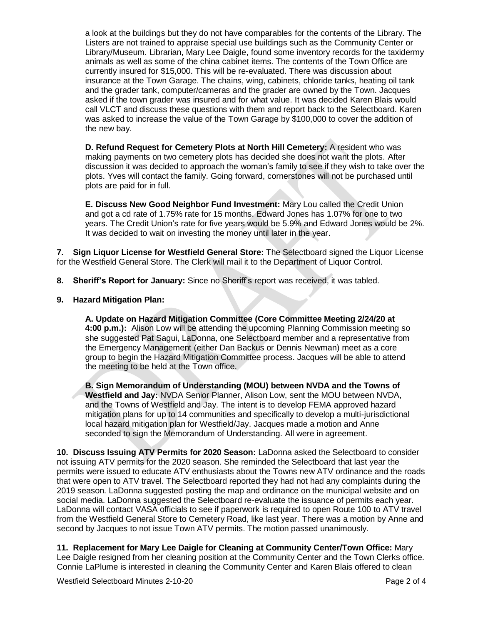a look at the buildings but they do not have comparables for the contents of the Library. The Listers are not trained to appraise special use buildings such as the Community Center or Library/Museum. Librarian, Mary Lee Daigle, found some inventory records for the taxidermy animals as well as some of the china cabinet items. The contents of the Town Office are currently insured for \$15,000. This will be re-evaluated. There was discussion about insurance at the Town Garage. The chains, wing, cabinets, chloride tanks, heating oil tank and the grader tank, computer/cameras and the grader are owned by the Town. Jacques asked if the town grader was insured and for what value. It was decided Karen Blais would call VLCT and discuss these questions with them and report back to the Selectboard. Karen was asked to increase the value of the Town Garage by \$100,000 to cover the addition of the new bay.

**D. Refund Request for Cemetery Plots at North Hill Cemetery:** A resident who was making payments on two cemetery plots has decided she does not want the plots. After discussion it was decided to approach the woman's family to see if they wish to take over the plots. Yves will contact the family. Going forward, cornerstones will not be purchased until plots are paid for in full.

**E. Discuss New Good Neighbor Fund Investment:** Mary Lou called the Credit Union and got a cd rate of 1.75% rate for 15 months. Edward Jones has 1.07% for one to two years. The Credit Union's rate for five years would be 5.9% and Edward Jones would be 2%. It was decided to wait on investing the money until later in the year.

**7. Sign Liquor License for Westfield General Store:** The Selectboard signed the Liquor License for the Westfield General Store. The Clerk will mail it to the Department of Liquor Control.

- **8. Sheriff's Report for January:** Since no Sheriff's report was received, it was tabled.
- **9. Hazard Mitigation Plan:**

**A. Update on Hazard Mitigation Committee (Core Committee Meeting 2/24/20 at 4:00 p.m.):** Alison Low will be attending the upcoming Planning Commission meeting so she suggested Pat Sagui, LaDonna, one Selectboard member and a representative from the Emergency Management (either Dan Backus or Dennis Newman) meet as a core group to begin the Hazard Mitigation Committee process. Jacques will be able to attend the meeting to be held at the Town office.

**B. Sign Memorandum of Understanding (MOU) between NVDA and the Towns of Westfield and Jay:** NVDA Senior Planner, Alison Low, sent the MOU between NVDA, and the Towns of Westfield and Jay. The intent is to develop FEMA approved hazard mitigation plans for up to 14 communities and specifically to develop a multi-jurisdictional local hazard mitigation plan for Westfield/Jay. Jacques made a motion and Anne seconded to sign the Memorandum of Understanding. All were in agreement.

**10. Discuss Issuing ATV Permits for 2020 Season:** LaDonna asked the Selectboard to consider not issuing ATV permits for the 2020 season. She reminded the Selectboard that last year the permits were issued to educate ATV enthusiasts about the Towns new ATV ordinance and the roads that were open to ATV travel. The Selectboard reported they had not had any complaints during the 2019 season. LaDonna suggested posting the map and ordinance on the municipal website and on social media. LaDonna suggested the Selectboard re-evaluate the issuance of permits each year. LaDonna will contact VASA officials to see if paperwork is required to open Route 100 to ATV travel from the Westfield General Store to Cemetery Road, like last year. There was a motion by Anne and second by Jacques to not issue Town ATV permits. The motion passed unanimously.

**11. Replacement for Mary Lee Daigle for Cleaning at Community Center/Town Office:** Mary Lee Daigle resigned from her cleaning position at the Community Center and the Town Clerks office. Connie LaPlume is interested in cleaning the Community Center and Karen Blais offered to clean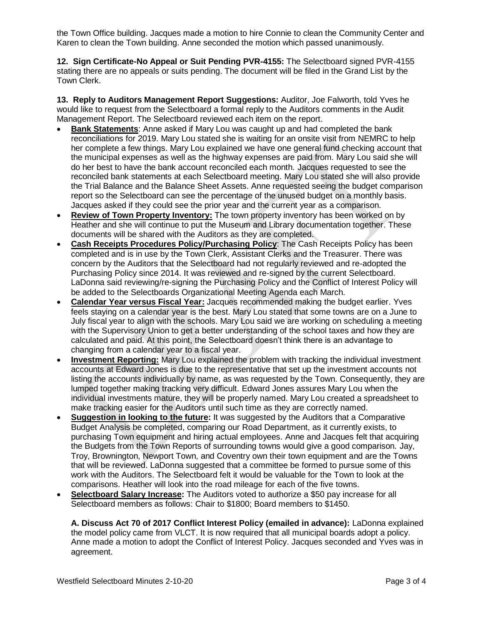the Town Office building. Jacques made a motion to hire Connie to clean the Community Center and Karen to clean the Town building. Anne seconded the motion which passed unanimously.

**12. Sign Certificate-No Appeal or Suit Pending PVR-4155:** The Selectboard signed PVR-4155 stating there are no appeals or suits pending. The document will be filed in the Grand List by the Town Clerk.

**13. Reply to Auditors Management Report Suggestions:** Auditor, Joe Falworth, told Yves he would like to request from the Selectboard a formal reply to the Auditors comments in the Audit Management Report. The Selectboard reviewed each item on the report.

- **Bank Statements**: Anne asked if Mary Lou was caught up and had completed the bank reconciliations for 2019. Mary Lou stated she is waiting for an onsite visit from NEMRC to help her complete a few things. Mary Lou explained we have one general fund checking account that the municipal expenses as well as the highway expenses are paid from. Mary Lou said she will do her best to have the bank account reconciled each month. Jacques requested to see the reconciled bank statements at each Selectboard meeting. Mary Lou stated she will also provide the Trial Balance and the Balance Sheet Assets. Anne requested seeing the budget comparison report so the Selectboard can see the percentage of the unused budget on a monthly basis. Jacques asked if they could see the prior year and the current year as a comparison.
- **Review of Town Property Inventory:** The town property inventory has been worked on by Heather and she will continue to put the Museum and Library documentation together. These documents will be shared with the Auditors as they are completed.
- **Cash Receipts Procedures Policy/Purchasing Policy**: The Cash Receipts Policy has been completed and is in use by the Town Clerk, Assistant Clerks and the Treasurer. There was concern by the Auditors that the Selectboard had not regularly reviewed and re-adopted the Purchasing Policy since 2014. It was reviewed and re-signed by the current Selectboard. LaDonna said reviewing/re-signing the Purchasing Policy and the Conflict of Interest Policy will be added to the Selectboards Organizational Meeting Agenda each March.
- **Calendar Year versus Fiscal Year:** Jacques recommended making the budget earlier. Yves feels staying on a calendar year is the best. Mary Lou stated that some towns are on a June to July fiscal year to align with the schools. Mary Lou said we are working on scheduling a meeting with the Supervisory Union to get a better understanding of the school taxes and how they are calculated and paid. At this point, the Selectboard doesn't think there is an advantage to changing from a calendar year to a fiscal year.
- **Investment Reporting:** Mary Lou explained the problem with tracking the individual investment accounts at Edward Jones is due to the representative that set up the investment accounts not listing the accounts individually by name, as was requested by the Town. Consequently, they are lumped together making tracking very difficult. Edward Jones assures Mary Lou when the individual investments mature, they will be properly named. Mary Lou created a spreadsheet to make tracking easier for the Auditors until such time as they are correctly named.
- **Suggestion in looking to the future:** It was suggested by the Auditors that a Comparative Budget Analysis be completed, comparing our Road Department, as it currently exists, to purchasing Town equipment and hiring actual employees. Anne and Jacques felt that acquiring the Budgets from the Town Reports of surrounding towns would give a good comparison. Jay, Troy, Brownington, Newport Town, and Coventry own their town equipment and are the Towns that will be reviewed. LaDonna suggested that a committee be formed to pursue some of this work with the Auditors. The Selectboard felt it would be valuable for the Town to look at the comparisons. Heather will look into the road mileage for each of the five towns.
- **Selectboard Salary Increase:** The Auditors voted to authorize a \$50 pay increase for all Selectboard members as follows: Chair to \$1800; Board members to \$1450.

**A. Discuss Act 70 of 2017 Conflict Interest Policy (emailed in advance):** LaDonna explained the model policy came from VLCT. It is now required that all municipal boards adopt a policy. Anne made a motion to adopt the Conflict of Interest Policy. Jacques seconded and Yves was in agreement.